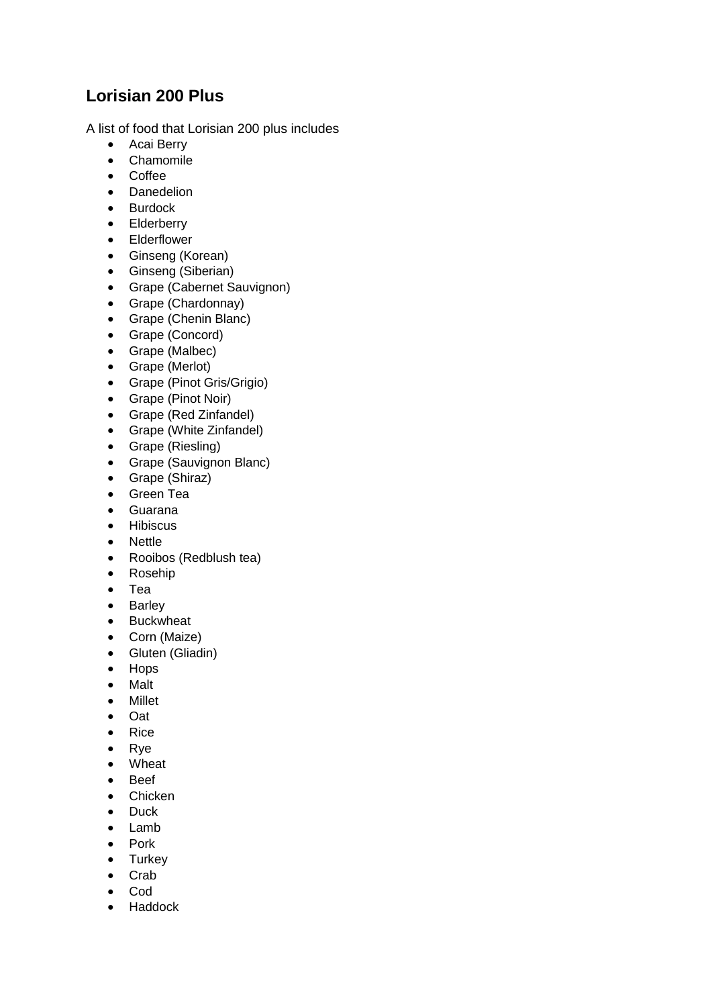## **Lorisian 200 Plus**

A list of food that Lorisian 200 plus includes

- Acai Berry
- Chamomile
- Coffee
- Danedelion
- Burdock
- Elderberry
- Elderflower
- Ginseng (Korean)
- Ginseng (Siberian)
- Grape (Cabernet Sauvignon)
- Grape (Chardonnay)
- Grape (Chenin Blanc)
- Grape (Concord)
- Grape (Malbec)
- Grape (Merlot)
- Grape (Pinot Gris/Grigio)
- Grape (Pinot Noir)
- Grape (Red Zinfandel)
- Grape (White Zinfandel)
- Grape (Riesling)
- Grape (Sauvignon Blanc)
- Grape (Shiraz)
- Green Tea
- Guarana
- Hibiscus
- Nettle
- Rooibos (Redblush tea)
- Rosehip
- Tea
- Barley
- Buckwheat
- Corn (Maize)
- Gluten (Gliadin)
- Hops
- Malt
- Millet
- Oat
- Rice
- Rye
- Wheat
- Beef
- Chicken
- Duck
- Lamb
- Pork
- Turkey
- Crab
- Cod
- Haddock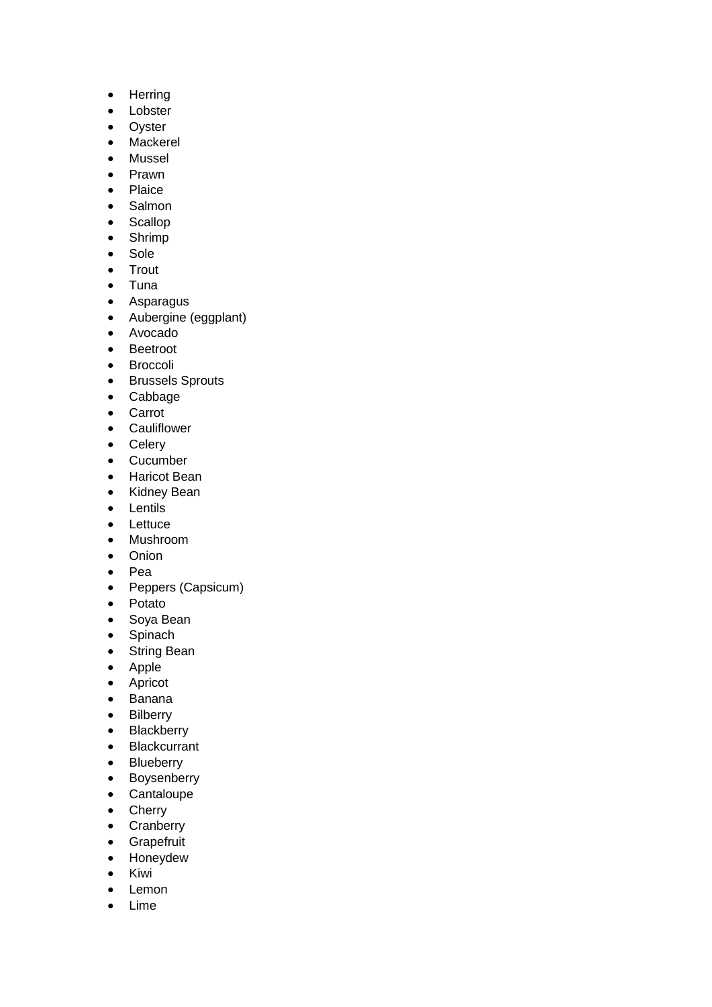- Herring
- Lobster
- Oyster
- Mackerel
- Mussel
- Prawn
- Plaice
- Salmon
- Scallop
- Shrimp
- Sole
- Trout
- Tuna
- Asparagus
- Aubergine (eggplant)
- Avocado
- Beetroot
- Broccoli
- Brussels Sprouts
- Cabbage
- Carrot
- Cauliflower
- Celery
- Cucumber
- Haricot Bean
- Kidney Bean
- Lentils
- Lettuce
- Mushroom
- Onion
- Pea
- Peppers (Capsicum)
- Potato
- Soya Bean
- Spinach
- String Bean
- Apple
- Apricot
- Banana
- Bilberry
- Blackberry
- Blackcurrant
- Blueberry
- Boysenberry
- Cantaloupe
- Cherry
- Cranberry
- Grapefruit
- Honeydew
- Kiwi
- Lemon
- Lime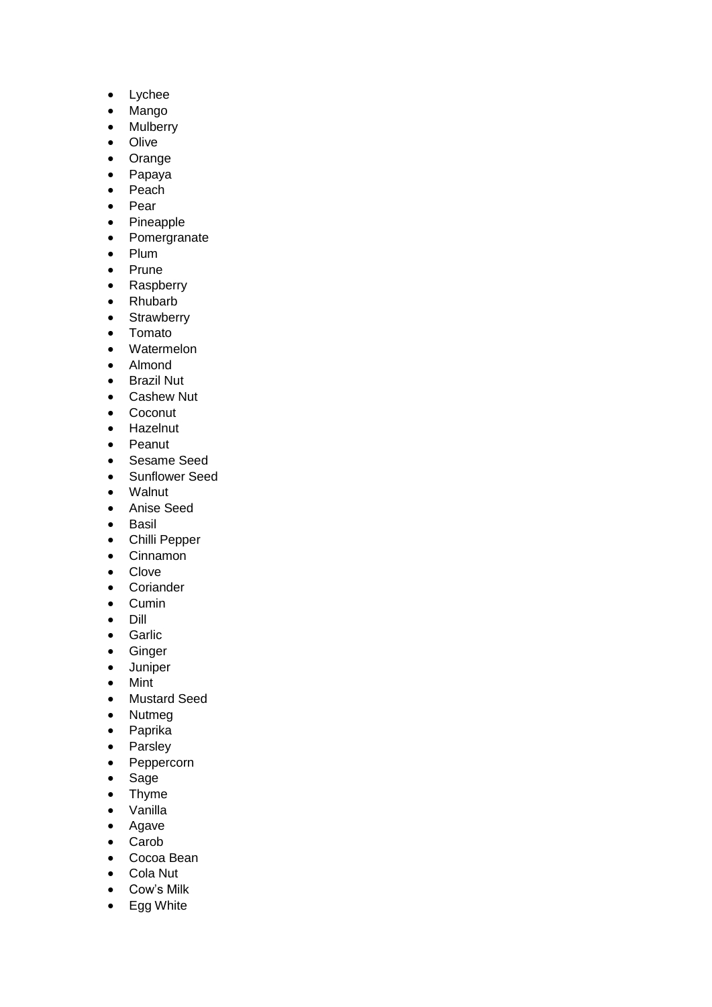- Lychee
- Mango
- Mulberry
- Olive
- Orange
- Papaya
- Peach
- Pear
- Pineapple
- Pomergranate
- Plum
- Prune
- Raspberry
- Rhubarb
- Strawberry
- Tomato
- Watermelon
- Almond
- Brazil Nut
- Cashew Nut
- Coconut
- Hazelnut
- Peanut
- Sesame Seed
- Sunflower Seed
- Walnut
- Anise Seed
- Basil
- Chilli Pepper
- Cinnamon
- Clove
- Coriander
- Cumin
- Dill
- Garlic
- Ginger
- Juniper
- Mint
- Mustard Seed
- Nutmeg
- Paprika
- Parsley
- Peppercorn
- Sage
- Thyme
- Vanilla
- Agave
- Carob
- Cocoa Bean
- Cola Nut
- Cow's Milk
- Egg White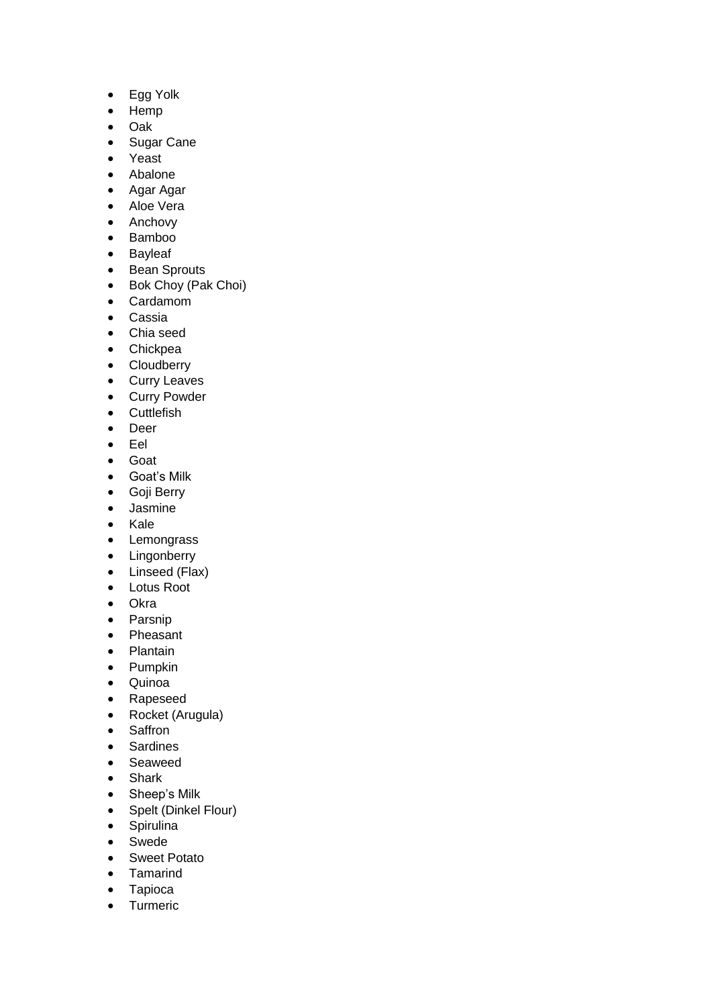- Egg Yolk
- Hemp
- Oak
- Sugar Cane
- Yeast
- Abalone
- Agar Agar
- Aloe Vera
- Anchovy
- Bamboo
- Bayleaf
- Bean Sprouts
- Bok Choy (Pak Choi)
- Cardamom
- Cassia
- Chia seed
- Chickpea
- Cloudberry
- Curry Leaves
- Curry Powder
- Cuttlefish
- Deer
- Eel
- Goat
- Goat's Milk
- Goji Berry
- Jasmine
- Kale
- Lemongrass
- Lingonberry
- Linseed (Flax)
- Lotus Root
- Okra
- Parsnip
- Pheasant
- Plantain
- Pumpkin
- Quinoa
- Rapeseed
- Rocket (Arugula)
- Saffron
- Sardines
- Seaweed
- Shark
- Sheep's Milk
- Spelt (Dinkel Flour)
- Spirulina
- Swede
- Sweet Potato
- Tamarind
- Tapioca
- Turmeric